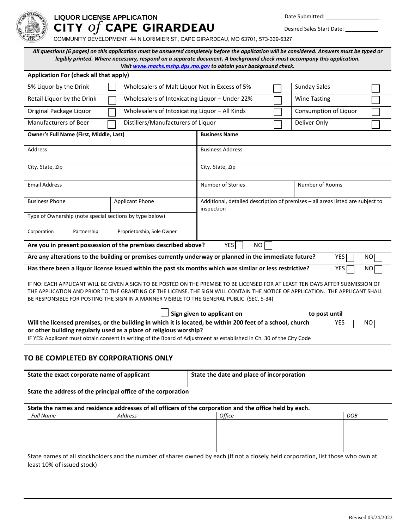

# **LIQUOR LICENSE APPLICATION** Date Submitted: \_\_\_\_\_\_\_\_\_\_\_\_\_\_\_\_\_\_  $\mathbf{Y}$  of CAPE GIRARDEAU Desired Sales Start Date:

COMMUNITY DEVELOPMENT, 44 N LORIMIER ST, CAPE GIRARDEAU, MO 63701, 573-339-6327

*All questions (6 pages) on this application must be answered completely before the application will be considered. Answers must be typed or legibly printed. Where necessary, respond on a separate document. A background check must accompany this application. Visi[t www.machs.mshp.dps.mo.gov](http://www.machs.mshp.dps.mo.gov/) to obtain your background check.*

| Application For (check all that apply)                                                                                                                                                                                                                                                                                                                         |                                                |                                                                                                        |                       |  |  |
|----------------------------------------------------------------------------------------------------------------------------------------------------------------------------------------------------------------------------------------------------------------------------------------------------------------------------------------------------------------|------------------------------------------------|--------------------------------------------------------------------------------------------------------|-----------------------|--|--|
| 5% Liquor by the Drink                                                                                                                                                                                                                                                                                                                                         |                                                | Wholesalers of Malt Liquor Not in Excess of 5%                                                         |                       |  |  |
| Retail Liquor by the Drink                                                                                                                                                                                                                                                                                                                                     | Wholesalers of Intoxicating Liquor - Under 22% |                                                                                                        | <b>Wine Tasting</b>   |  |  |
| Original Package Liquor                                                                                                                                                                                                                                                                                                                                        | Wholesalers of Intoxicating Liquor - All Kinds |                                                                                                        | Consumption of Liquor |  |  |
| Manufacturers of Beer                                                                                                                                                                                                                                                                                                                                          | Distillers/Manufacturers of Liquor             |                                                                                                        | Deliver Only          |  |  |
| Owner's Full Name (First, Middle, Last)                                                                                                                                                                                                                                                                                                                        |                                                | <b>Business Name</b>                                                                                   |                       |  |  |
| Address                                                                                                                                                                                                                                                                                                                                                        |                                                | <b>Business Address</b>                                                                                |                       |  |  |
| City, State, Zip                                                                                                                                                                                                                                                                                                                                               |                                                | City, State, Zip                                                                                       |                       |  |  |
| <b>Email Address</b>                                                                                                                                                                                                                                                                                                                                           |                                                | <b>Number of Stories</b>                                                                               | Number of Rooms       |  |  |
| <b>Business Phone</b>                                                                                                                                                                                                                                                                                                                                          | <b>Applicant Phone</b>                         | Additional, detailed description of premises - all areas listed are subject to<br>inspection           |                       |  |  |
| Type of Ownership (note special sections by type below)                                                                                                                                                                                                                                                                                                        |                                                |                                                                                                        |                       |  |  |
| Corporation<br>Partnership                                                                                                                                                                                                                                                                                                                                     | Proprietorship, Sole Owner                     |                                                                                                        |                       |  |  |
| Are you in present possession of the premises described above?                                                                                                                                                                                                                                                                                                 |                                                | <b>YES</b><br>NO                                                                                       |                       |  |  |
|                                                                                                                                                                                                                                                                                                                                                                |                                                | Are any alterations to the building or premises currently underway or planned in the immediate future? | YES  <br>NO.          |  |  |
| Has there been a liquor license issued within the past six months which was similar or less restrictive?<br>YES<br>NO                                                                                                                                                                                                                                          |                                                |                                                                                                        |                       |  |  |
| IF NO: EACH APPLICANT WILL BE GIVEN A SIGN TO BE POSTED ON THE PREMISE TO BE LICENSED FOR AT LEAST TEN DAYS AFTER SUBMISSION OF<br>THE APPLICATION AND PRIOR TO THE GRANTING OF THE LICENSE. THE SIGN WILL CONTAIN THE NOTICE OF APPLICATION. THE APPLICANT SHALL<br>BE RESPONSIBLE FOR POSTING THE SIGN IN A MANNER VISIBLE TO THE GENERAL PUBLIC (SEC. 5-34) |                                                |                                                                                                        |                       |  |  |
|                                                                                                                                                                                                                                                                                                                                                                |                                                | Sign given to applicant on                                                                             | to post until         |  |  |
| Will the licensed premises, or the building in which it is located, be within 200 feet of a school, church<br><b>YES</b><br>NO                                                                                                                                                                                                                                 |                                                |                                                                                                        |                       |  |  |

**or other building regularly used as a place of religious worship?**

IF YES: Applicant must obtain consent in writing of the Board of Adjustment as established in Ch. 30 of the City Code

# **TO BE COMPLETED BY CORPORATIONS ONLY**

| State the exact corporate name of applicant                                                             |                                                              | State the date and place of incorporation |            |
|---------------------------------------------------------------------------------------------------------|--------------------------------------------------------------|-------------------------------------------|------------|
|                                                                                                         | State the address of the principal office of the corporation |                                           |            |
| State the names and residence addresses of all officers of the corporation and the office held by each. |                                                              |                                           |            |
| <b>Full Name</b>                                                                                        | Address                                                      | <b>Office</b>                             | <b>DOB</b> |
|                                                                                                         |                                                              |                                           |            |

State names of all stockholders and the number of shares owned by each (If not a closely held corporation, list those who own at least 10% of issued stock)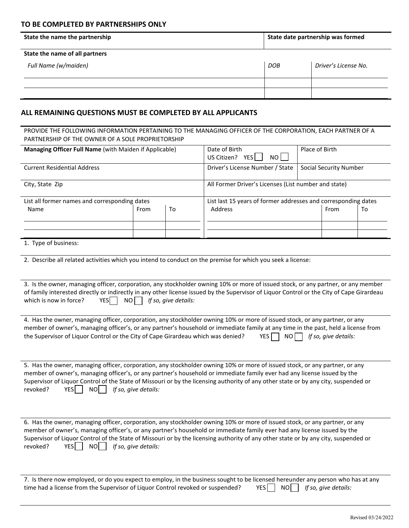## **TO BE COMPLETED BY PARTNERSHIPS ONLY**

| State the name the partnership | State date partnership was formed |                      |  |
|--------------------------------|-----------------------------------|----------------------|--|
| State the name of all partners |                                   |                      |  |
| Full Name (w/maiden)           | <b>DOB</b>                        | Driver's License No. |  |
|                                |                                   |                      |  |
|                                |                                   |                      |  |

## **ALL REMAINING QUESTIONS MUST BE COMPLETED BY ALL APPLICANTS**

#### PROVIDE THE FOLLOWING INFORMATION PERTAINING TO THE MANAGING OFFICER OF THE CORPORATION, EACH PARTNER OF A PARTNERSHIP OF THE OWNER OF A SOLE PROPRIETORSHIP

| Managing Officer Full Name (with Maiden if Applicable)                                                                                                                                                                                                                                                                                                                                                                                                        |      | Date of Birth<br>US Citizen? YES<br>NO I | Place of Birth                                                 |  |                               |    |
|---------------------------------------------------------------------------------------------------------------------------------------------------------------------------------------------------------------------------------------------------------------------------------------------------------------------------------------------------------------------------------------------------------------------------------------------------------------|------|------------------------------------------|----------------------------------------------------------------|--|-------------------------------|----|
| <b>Current Residential Address</b>                                                                                                                                                                                                                                                                                                                                                                                                                            |      |                                          | Driver's License Number / State                                |  | <b>Social Security Number</b> |    |
| City, State Zip                                                                                                                                                                                                                                                                                                                                                                                                                                               |      |                                          | All Former Driver's Licenses (List number and state)           |  |                               |    |
| List all former names and corresponding dates                                                                                                                                                                                                                                                                                                                                                                                                                 |      |                                          | List last 15 years of former addresses and corresponding dates |  |                               |    |
| Name                                                                                                                                                                                                                                                                                                                                                                                                                                                          | From | To                                       | Address                                                        |  | From                          | To |
|                                                                                                                                                                                                                                                                                                                                                                                                                                                               |      |                                          |                                                                |  |                               |    |
| 1. Type of business:                                                                                                                                                                                                                                                                                                                                                                                                                                          |      |                                          |                                                                |  |                               |    |
| 2. Describe all related activities which you intend to conduct on the premise for which you seek a license:                                                                                                                                                                                                                                                                                                                                                   |      |                                          |                                                                |  |                               |    |
| 3. Is the owner, managing officer, corporation, any stockholder owning 10% or more of issued stock, or any partner, or any member<br>of family interested directly or indirectly in any other license issued by the Supervisor of Liquor Control or the City of Cape Girardeau<br>which is now in force?<br>NO<br>If so, give details:<br>YESI                                                                                                                |      |                                          |                                                                |  |                               |    |
| 4. Has the owner, managing officer, corporation, any stockholder owning 10% or more of issued stock, or any partner, or any<br>member of owner's, managing officer's, or any partner's household or immediate family at any time in the past, held a license from<br>the Supervisor of Liquor Control or the City of Cape Girardeau which was denied?                                                                                                         |      |                                          | YES.<br>NO                                                     |  | If so, give details:          |    |
| 5. Has the owner, managing officer, corporation, any stockholder owning 10% or more of issued stock, or any partner, or any<br>member of owner's, managing officer's, or any partner's household or immediate family ever had any license issued by the<br>Supervisor of Liquor Control of the State of Missouri or by the licensing authority of any other state or by any city, suspended or<br><b>YES</b><br>If so, give details:<br>revoked?<br>NOI I     |      |                                          |                                                                |  |                               |    |
| 6. Has the owner, managing officer, corporation, any stockholder owning 10% or more of issued stock, or any partner, or any<br>member of owner's, managing officer's, or any partner's household or immediate family ever had any license issued by the<br>Supervisor of Liquor Control of the State of Missouri or by the licensing authority of any other state or by any city, suspended or<br><b>YES</b><br>revoked?<br><b>NO</b><br>If so, give details: |      |                                          |                                                                |  |                               |    |

| 7. Is there now employed, or do you expect to employ, in the business sought to be licensed hereunder any person who has at any |                                      |
|---------------------------------------------------------------------------------------------------------------------------------|--------------------------------------|
| time had a license from the Supervisor of Liquor Control revoked or suspended?                                                  | $YES \t{No}$ NO If so, give details: |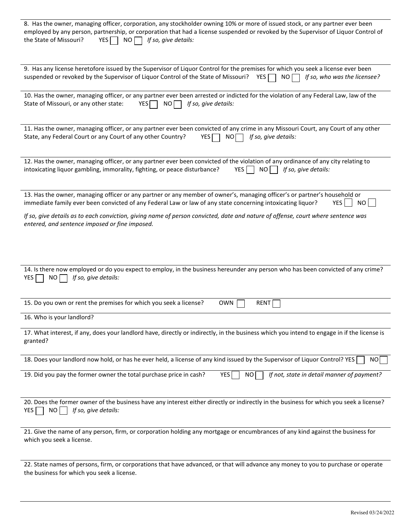| 8. Has the owner, managing officer, corporation, any stockholder owning 10% or more of issued stock, or any partner ever been<br>employed by any person, partnership, or corporation that had a license suspended or revoked by the Supervisor of Liquor Control of<br>the State of Missouri?<br><b>YES</b><br>NO I<br>If so, give details: |
|---------------------------------------------------------------------------------------------------------------------------------------------------------------------------------------------------------------------------------------------------------------------------------------------------------------------------------------------|
| 9. Has any license heretofore issued by the Supervisor of Liquor Control for the premises for which you seek a license ever been<br>suspended or revoked by the Supervisor of Liquor Control of the State of Missouri?<br>YES $\Box$<br>NO<br>If so, who was the licensee?                                                                  |
| 10. Has the owner, managing officer, or any partner ever been arrested or indicted for the violation of any Federal Law, law of the<br>State of Missouri, or any other state:<br>NO<br>If so, give details:<br><b>YES</b>                                                                                                                   |
| 11. Has the owner, managing officer, or any partner ever been convicted of any crime in any Missouri Court, any Court of any other<br>State, any Federal Court or any Court of any other Country?<br>NO<br>If so, give details:<br><b>YES</b>                                                                                               |
| 12. Has the owner, managing officer, or any partner ever been convicted of the violation of any ordinance of any city relating to<br>intoxicating liquor gambling, immorality, fighting, or peace disturbance?<br><b>YES</b><br>If so, give details:<br>NO.                                                                                 |
| 13. Has the owner, managing officer or any partner or any member of owner's, managing officer's or partner's household or<br>immediate family ever been convicted of any Federal Law or law of any state concerning intoxicating liquor?<br><b>YES</b><br>NO                                                                                |
| If so, give details as to each conviction, giving name of person convicted, date and nature of offense, court where sentence was<br>entered, and sentence imposed or fine imposed.                                                                                                                                                          |
|                                                                                                                                                                                                                                                                                                                                             |
| 14. Is there now employed or do you expect to employ, in the business hereunder any person who has been convicted of any crime?<br>If so, give details:<br>YES  <br>NO                                                                                                                                                                      |
| 15. Do you own or rent the premises for which you seek a license?<br><b>OWN</b><br>RENT                                                                                                                                                                                                                                                     |
| 16. Who is your landlord?                                                                                                                                                                                                                                                                                                                   |
| 17. What interest, if any, does your landlord have, directly or indirectly, in the business which you intend to engage in if the license is<br>granted?                                                                                                                                                                                     |
| 18. Does your landlord now hold, or has he ever held, a license of any kind issued by the Supervisor of Liquor Control? YES<br>NO                                                                                                                                                                                                           |
| YES<br>If not, state in detail manner of payment?<br>19. Did you pay the former owner the total purchase price in cash?<br>NO                                                                                                                                                                                                               |
| 20. Does the former owner of the business have any interest either directly or indirectly in the business for which you seek a license?<br>If so, give details:<br>NO  <br>YES                                                                                                                                                              |
| 21. Give the name of any person, firm, or corporation holding any mortgage or encumbrances of any kind against the business for<br>which you seek a license.                                                                                                                                                                                |
| 22. State names of persons, firm, or corporations that have advanced, or that will advance any money to you to purchase or operate<br>the business for which you seek a license.                                                                                                                                                            |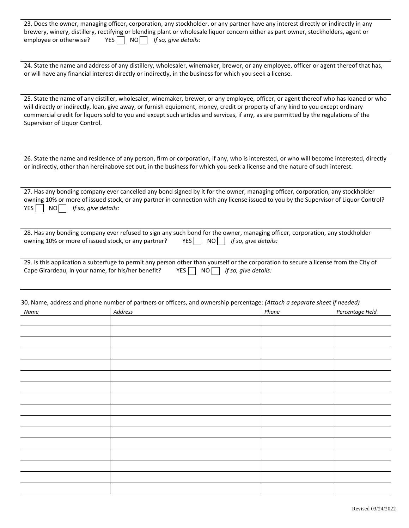|                        | 23. Does the owner, managing officer, corporation, any stockholder, or any partner have any interest directly or indirectly in any |  |
|------------------------|------------------------------------------------------------------------------------------------------------------------------------|--|
|                        | brewery, winery, distillery, rectifying or blending plant or wholesale liquor concern either as part owner, stockholders, agent or |  |
| employee or otherwise? | $YES$   NO     If so, give details:                                                                                                |  |

24. State the name and address of any distillery, wholesaler, winemaker, brewer, or any employee, officer or agent thereof that has, or will have any financial interest directly or indirectly, in the business for which you seek a license.

25. State the name of any distiller, wholesaler, winemaker, brewer, or any employee, officer, or agent thereof who has loaned or who will directly or indirectly, loan, give away, or furnish equipment, money, credit or property of any kind to you except ordinary commercial credit for liquors sold to you and except such articles and services, if any, as are permitted by the regulations of the Supervisor of Liquor Control.

26. State the name and residence of any person, firm or corporation, if any, who is interested, or who will become interested, directly or indirectly, other than hereinabove set out, in the business for which you seek a license and the nature of such interest.

27. Has any bonding company ever cancelled any bond signed by it for the owner, managing officer, corporation, any stockholder owning 10% or more of issued stock, or any partner in connection with any license issued to you by the Supervisor of Liquor Control? YES NO *If so, give details:* 

|                                                     | 28. Has any bonding company ever refused to sign any such bond for the owner, managing officer, corporation, any stockholder |  |
|-----------------------------------------------------|------------------------------------------------------------------------------------------------------------------------------|--|
| owning 10% or more of issued stock, or any partner? | $YES$ NO f if so, give details:                                                                                              |  |

|                                                    |  |  | 29. Is this application a subterfuge to permit any person other than yourself or the corporation to secure a license from the City of |
|----------------------------------------------------|--|--|---------------------------------------------------------------------------------------------------------------------------------------|
| Cape Girardeau, in your name, for his/her benefit? |  |  | YES $\Box$ NO $\Box$ If so, give details:                                                                                             |

| Name | Address | Phone | Percentage Held |
|------|---------|-------|-----------------|
|      |         |       |                 |
|      |         |       |                 |
|      |         |       |                 |
|      |         |       |                 |
|      |         |       |                 |
|      |         |       |                 |
|      |         |       |                 |
|      |         |       |                 |
|      |         |       |                 |
|      |         |       |                 |
|      |         |       |                 |
|      |         |       |                 |
|      |         |       |                 |
|      |         |       |                 |
|      |         |       |                 |
|      |         |       |                 |
|      |         |       |                 |
|      |         |       |                 |
|      |         |       |                 |
|      |         |       |                 |
|      |         |       |                 |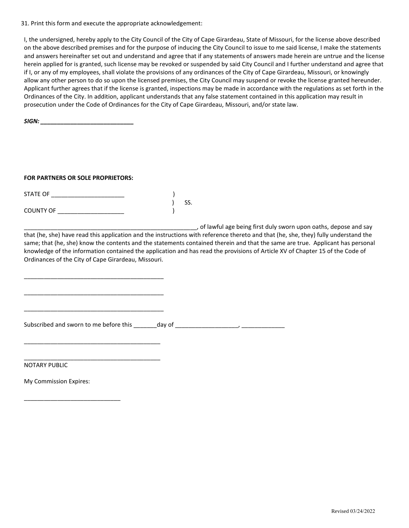31. Print this form and execute the appropriate acknowledgement:

I, the undersigned, hereby apply to the City Council of the City of Cape Girardeau, State of Missouri, for the license above described on the above described premises and for the purpose of inducing the City Council to issue to me said license, I make the statements and answers hereinafter set out and understand and agree that if any statements of answers made herein are untrue and the license herein applied for is granted, such license may be revoked or suspended by said City Council and I further understand and agree that if I, or any of my employees, shall violate the provisions of any ordinances of the City of Cape Girardeau, Missouri, or knowingly allow any other person to do so upon the licensed premises, the City Council may suspend or revoke the license granted hereunder. Applicant further agrees that if the license is granted, inspections may be made in accordance with the regulations as set forth in the Ordinances of the City. In addition, applicant understands that any false statement contained in this application may result in prosecution under the Code of Ordinances for the City of Cape Girardeau, Missouri, and/or state law.

*SIGN: \_\_\_\_\_\_\_\_\_\_\_\_\_\_\_\_\_\_\_\_\_\_\_\_\_\_\_\_*

## **FOR PARTNERS OR SOLE PROPRIETORS:**

| <b>STATE OF</b>  |     |
|------------------|-----|
|                  | SS. |
| <b>COUNTY OF</b> |     |

\_\_\_\_\_\_\_\_\_\_\_\_\_\_\_\_\_\_\_\_\_\_\_\_\_\_\_\_\_\_\_\_\_\_\_\_\_\_\_\_\_\_

\_\_\_\_\_\_\_\_\_\_\_\_\_\_\_\_\_\_\_\_\_\_\_\_\_\_\_\_\_\_\_\_\_\_\_\_\_\_\_\_\_\_

\_\_\_\_\_\_\_\_\_\_\_\_\_\_\_\_\_\_\_\_\_\_\_\_\_\_\_\_\_\_\_\_\_\_\_\_\_\_\_\_\_\_

\_\_\_\_\_\_\_\_\_\_\_\_\_\_\_\_\_\_\_\_\_\_\_\_\_\_\_\_\_\_\_\_\_\_\_\_\_\_\_\_\_

\_\_\_\_\_\_\_\_\_\_\_\_\_\_\_\_\_\_\_\_\_\_\_\_\_\_\_\_\_\_\_\_\_\_\_\_\_\_\_\_\_

\_\_\_\_\_\_\_\_\_\_\_\_\_\_\_\_\_\_\_\_\_\_\_\_\_\_\_\_\_\_\_\_\_\_\_\_\_\_\_\_\_\_\_\_\_\_\_\_\_\_\_\_, of lawful age being first duly sworn upon oaths, depose and say

that (he, she) have read this application and the instructions with reference thereto and that (he, she, they) fully understand the same; that (he, she) know the contents and the statements contained therein and that the same are true. Applicant has personal knowledge of the information contained the application and has read the provisions of Article XV of Chapter 15 of the Code of Ordinances of the City of Cape Girardeau, Missouri.

Subscribed and sworn to me before this  $\frac{1}{2}$  day of  $\frac{1}{2}$   $\frac{1}{2}$   $\frac{1}{2}$   $\frac{1}{2}$   $\frac{1}{2}$   $\frac{1}{2}$   $\frac{1}{2}$   $\frac{1}{2}$   $\frac{1}{2}$   $\frac{1}{2}$   $\frac{1}{2}$   $\frac{1}{2}$   $\frac{1}{2}$   $\frac{1}{2}$   $\frac{1}{2}$   $\frac{1}{2}$   $\frac{1$ 

NOTARY PUBLIC

My Commission Expires:

\_\_\_\_\_\_\_\_\_\_\_\_\_\_\_\_\_\_\_\_\_\_\_\_\_\_\_\_\_

Revised 03/24/2022